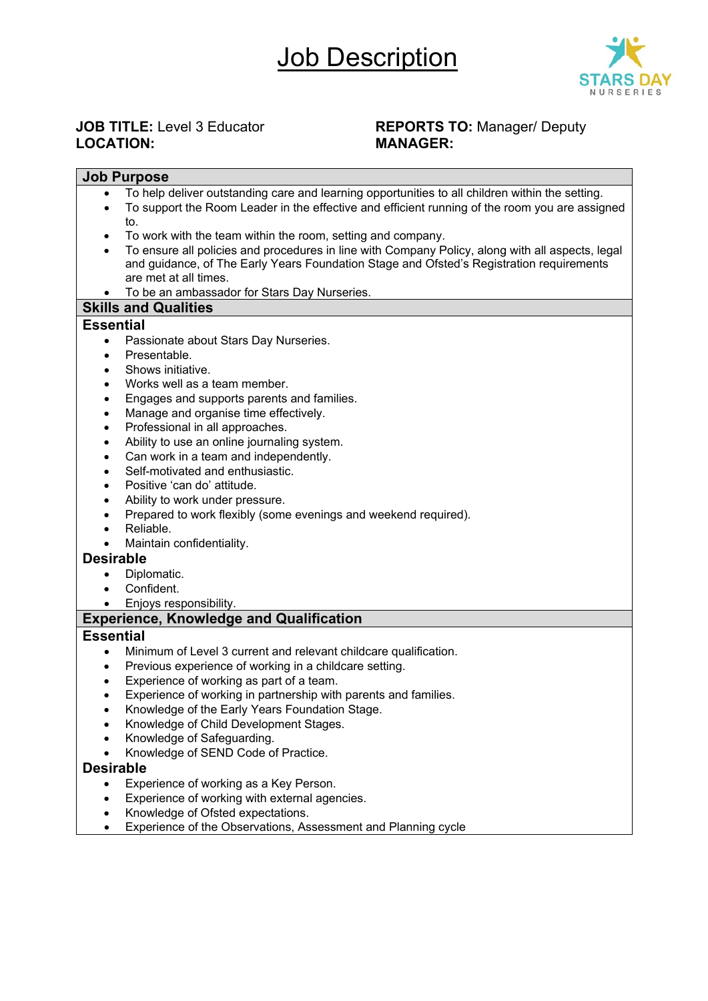### Job Description



# $LOGATION:$

## **JOB TITLE:** Level 3 Educator **REPORTS TO:** Manager/ Deputy<br> **REPORTS TO:** MANAGER:

#### **Job Purpose** • To help deliver outstanding care and learning opportunities to all children within the setting. • To support the Room Leader in the effective and efficient running of the room you are assigned to. • To work with the team within the room, setting and company. • To ensure all policies and procedures in line with Company Policy, along with all aspects, legal and guidance, of The Early Years Foundation Stage and Ofsted's Registration requirements are met at all times. • To be an ambassador for Stars Day Nurseries. **Skills and Qualities Essential** • Passionate about Stars Day Nurseries. • Presentable. Shows initiative. Works well as a team member. • Engages and supports parents and families. • Manage and organise time effectively. • Professional in all approaches. • Ability to use an online journaling system. • Can work in a team and independently. • Self-motivated and enthusiastic. • Positive 'can do' attitude. Ability to work under pressure. • Prepared to work flexibly (some evenings and weekend required). • Reliable. • Maintain confidentiality. **Desirable** Diplomatic. Confident. • Enjoys responsibility. **Experience, Knowledge and Qualification Essential** • Minimum of Level 3 current and relevant childcare qualification. Previous experience of working in a childcare setting. Experience of working as part of a team. Experience of working in partnership with parents and families. • Knowledge of the Early Years Foundation Stage. • Knowledge of Child Development Stages. • Knowledge of Safeguarding. • Knowledge of SEND Code of Practice. **Desirable** Experience of working as a Key Person. Experience of working with external agencies. • Knowledge of Ofsted expectations.

• Experience of the Observations, Assessment and Planning cycle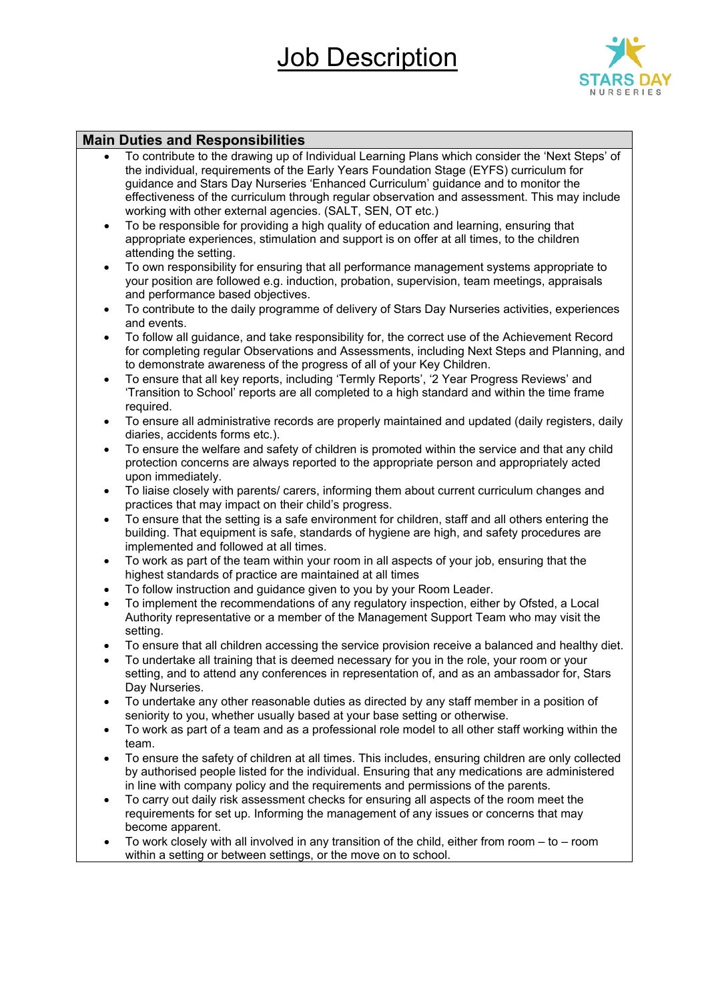## Job Description



#### **Main Duties and Responsibilities**

- To contribute to the drawing up of Individual Learning Plans which consider the 'Next Steps' of the individual, requirements of the Early Years Foundation Stage (EYFS) curriculum for guidance and Stars Day Nurseries 'Enhanced Curriculum' guidance and to monitor the effectiveness of the curriculum through regular observation and assessment. This may include working with other external agencies. (SALT, SEN, OT etc.)
- To be responsible for providing a high quality of education and learning, ensuring that appropriate experiences, stimulation and support is on offer at all times, to the children attending the setting.
- To own responsibility for ensuring that all performance management systems appropriate to your position are followed e.g. induction, probation, supervision, team meetings, appraisals and performance based objectives.
- To contribute to the daily programme of delivery of Stars Day Nurseries activities, experiences and events.
- To follow all guidance, and take responsibility for, the correct use of the Achievement Record for completing regular Observations and Assessments, including Next Steps and Planning, and to demonstrate awareness of the progress of all of your Key Children.
- To ensure that all key reports, including 'Termly Reports', '2 Year Progress Reviews' and 'Transition to School' reports are all completed to a high standard and within the time frame required.
- To ensure all administrative records are properly maintained and updated (daily registers, daily diaries, accidents forms etc.).
- To ensure the welfare and safety of children is promoted within the service and that any child protection concerns are always reported to the appropriate person and appropriately acted upon immediately.
- To liaise closely with parents/ carers, informing them about current curriculum changes and practices that may impact on their child's progress.
- To ensure that the setting is a safe environment for children, staff and all others entering the building. That equipment is safe, standards of hygiene are high, and safety procedures are implemented and followed at all times.
- To work as part of the team within your room in all aspects of your job, ensuring that the highest standards of practice are maintained at all times
- To follow instruction and guidance given to you by your Room Leader.
- To implement the recommendations of any regulatory inspection, either by Ofsted, a Local Authority representative or a member of the Management Support Team who may visit the setting.
- To ensure that all children accessing the service provision receive a balanced and healthy diet.
- To undertake all training that is deemed necessary for you in the role, your room or your setting, and to attend any conferences in representation of, and as an ambassador for, Stars Day Nurseries.
- To undertake any other reasonable duties as directed by any staff member in a position of seniority to you, whether usually based at your base setting or otherwise.
- To work as part of a team and as a professional role model to all other staff working within the team.
- To ensure the safety of children at all times. This includes, ensuring children are only collected by authorised people listed for the individual. Ensuring that any medications are administered in line with company policy and the requirements and permissions of the parents.
- To carry out daily risk assessment checks for ensuring all aspects of the room meet the requirements for set up. Informing the management of any issues or concerns that may become apparent.
- To work closely with all involved in any transition of the child, either from room to room within a setting or between settings, or the move on to school.